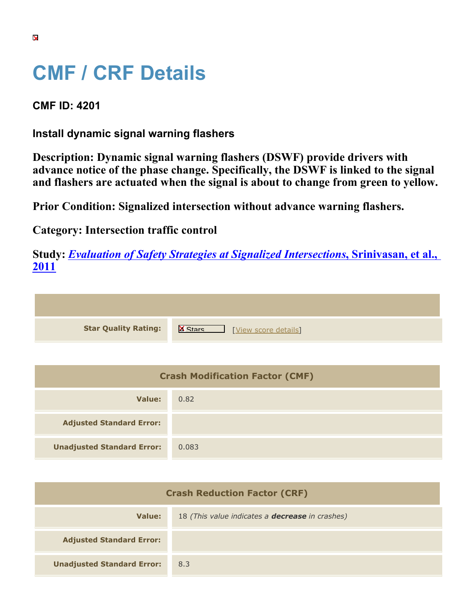## **CMF / CRF Details**

**CMF ID: 4201**

**Install dynamic signal warning flashers**

**Description: Dynamic signal warning flashers (DSWF) provide drivers with advance notice of the phase change. Specifically, the DSWF is linked to the signal and flashers are actuated when the signal is about to change from green to yellow.**

**Prior Condition: Signalized intersection without advance warning flashers.**

**Category: Intersection traffic control**

**Study:** *[Evaluation of Safety Strategies at Signalized Intersections](https://cmfclearinghouse.org/study_detail.cfm?stid=290)***[, Srinivasan, et al.,](https://cmfclearinghouse.org/study_detail.cfm?stid=290) [2011](https://cmfclearinghouse.org/study_detail.cfm?stid=290)**

| <b>Star Quality Rating:</b> | IX<br>[View score details] |
|-----------------------------|----------------------------|

| <b>Crash Modification Factor (CMF)</b> |       |
|----------------------------------------|-------|
| Value:                                 | 0.82  |
| <b>Adjusted Standard Error:</b>        |       |
| <b>Unadjusted Standard Error:</b>      | 0.083 |

| <b>Crash Reduction Factor (CRF)</b> |                                                        |
|-------------------------------------|--------------------------------------------------------|
| Value:                              | 18 (This value indicates a <b>decrease</b> in crashes) |
| <b>Adjusted Standard Error:</b>     |                                                        |
| <b>Unadjusted Standard Error:</b>   | 8.3                                                    |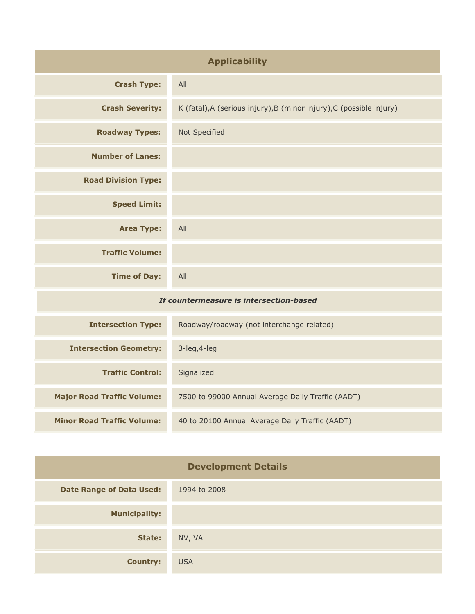| <b>Applicability</b>                    |                                                                      |
|-----------------------------------------|----------------------------------------------------------------------|
| <b>Crash Type:</b>                      | All                                                                  |
| <b>Crash Severity:</b>                  | K (fatal), A (serious injury), B (minor injury), C (possible injury) |
| <b>Roadway Types:</b>                   | Not Specified                                                        |
| <b>Number of Lanes:</b>                 |                                                                      |
| <b>Road Division Type:</b>              |                                                                      |
| <b>Speed Limit:</b>                     |                                                                      |
| <b>Area Type:</b>                       | All                                                                  |
| <b>Traffic Volume:</b>                  |                                                                      |
| <b>Time of Day:</b>                     | All                                                                  |
| If countermeasure is intersection-based |                                                                      |
| <b>Intersection Type:</b>               | Roadway/roadway (not interchange related)                            |

| <b>Intersection Geometry:</b>     | $3$ -leg, $4$ -leg                                |
|-----------------------------------|---------------------------------------------------|
| <b>Traffic Control:</b>           | Signalized                                        |
| <b>Major Road Traffic Volume:</b> | 7500 to 99000 Annual Average Daily Traffic (AADT) |
| <b>Minor Road Traffic Volume:</b> | 40 to 20100 Annual Average Daily Traffic (AADT)   |

| <b>Development Details</b>      |              |
|---------------------------------|--------------|
| <b>Date Range of Data Used:</b> | 1994 to 2008 |
| <b>Municipality:</b>            |              |
| State:                          | NV, VA       |
| <b>Country:</b>                 | <b>USA</b>   |